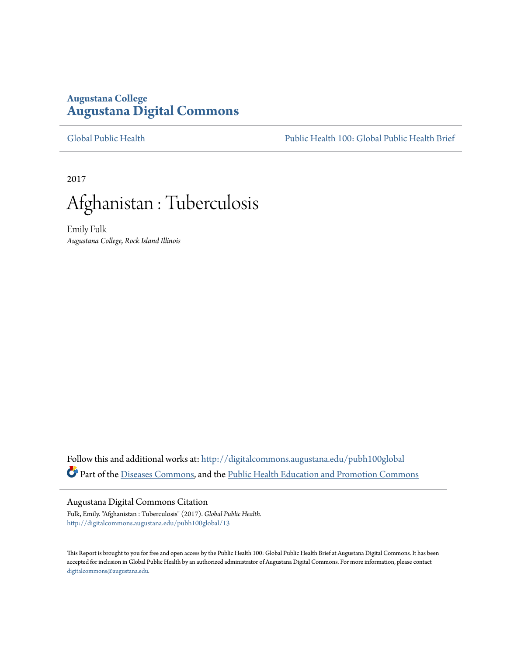# **Augustana College [Augustana Digital Commons](http://digitalcommons.augustana.edu?utm_source=digitalcommons.augustana.edu%2Fpubh100global%2F13&utm_medium=PDF&utm_campaign=PDFCoverPages)**

[Global Public Health](http://digitalcommons.augustana.edu/pubh100global?utm_source=digitalcommons.augustana.edu%2Fpubh100global%2F13&utm_medium=PDF&utm_campaign=PDFCoverPages) [Public Health 100: Global Public Health Brief](http://digitalcommons.augustana.edu/pubh100?utm_source=digitalcommons.augustana.edu%2Fpubh100global%2F13&utm_medium=PDF&utm_campaign=PDFCoverPages)

2017



Emily Fulk *Augustana College, Rock Island Illinois*

Follow this and additional works at: [http://digitalcommons.augustana.edu/pubh100global](http://digitalcommons.augustana.edu/pubh100global?utm_source=digitalcommons.augustana.edu%2Fpubh100global%2F13&utm_medium=PDF&utm_campaign=PDFCoverPages) Part of the [Diseases Commons](http://network.bepress.com/hgg/discipline/813?utm_source=digitalcommons.augustana.edu%2Fpubh100global%2F13&utm_medium=PDF&utm_campaign=PDFCoverPages), and the [Public Health Education and Promotion Commons](http://network.bepress.com/hgg/discipline/743?utm_source=digitalcommons.augustana.edu%2Fpubh100global%2F13&utm_medium=PDF&utm_campaign=PDFCoverPages)

## Augustana Digital Commons Citation

Fulk, Emily. "Afghanistan : Tuberculosis" (2017). *Global Public Health.* [http://digitalcommons.augustana.edu/pubh100global/13](http://digitalcommons.augustana.edu/pubh100global/13?utm_source=digitalcommons.augustana.edu%2Fpubh100global%2F13&utm_medium=PDF&utm_campaign=PDFCoverPages)

This Report is brought to you for free and open access by the Public Health 100: Global Public Health Brief at Augustana Digital Commons. It has been accepted for inclusion in Global Public Health by an authorized administrator of Augustana Digital Commons. For more information, please contact [digitalcommons@augustana.edu.](mailto:digitalcommons@augustana.edu)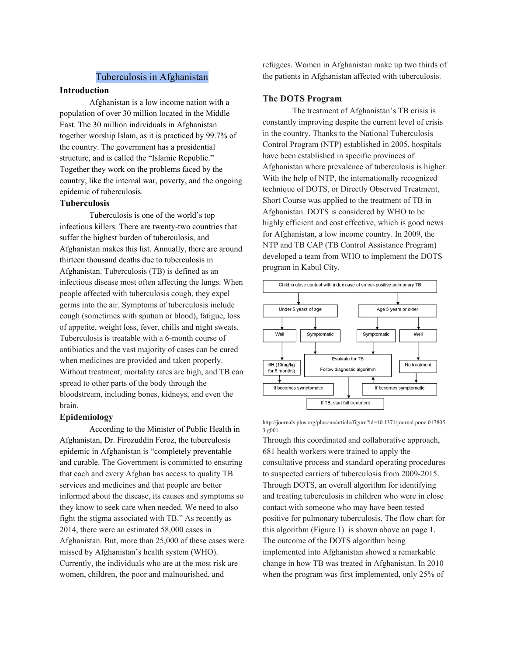## Tuberculosis in Afghanistan

## **Introduction**

Afghanistan is a low income nation with a population of over 30 million located in the Middle East. The 30 million individuals in Afghanistan together worship Islam, as it is practiced by 99.7% of the country. The government has a presidential structure, and is called the "Islamic Republic." Together they work on the problems faced by the country, like the internal war, poverty, and the ongoing epidemic of tuberculosis.

## **Tuberculosis**

Tuberculosis is one of the world's top infectious killers. There are twenty-two countries that suffer the highest burden of tuberculosis, and Afghanistan makes this list. Annually, there are around thirteen thousand deaths due to tuberculosis in Afghanistan. Tuberculosis (TB) is defined as an infectious disease most often affecting the lungs. When people affected with tuberculosis cough, they expel germs into the air. Symptoms of tuberculosis include cough (sometimes with sputum or blood), fatigue, loss of appetite, weight loss, fever, chills and night sweats. Tuberculosis is treatable with a 6-month course of antibiotics and the vast majority of cases can be cured when medicines are provided and taken properly. Without treatment, mortality rates are high, and TB can spread to other parts of the body through the bloodstream, including bones, kidneys, and even the brain.

#### **Epidemiology**

According to the Minister of Public Health in Afghanistan, Dr. Firozuddin Feroz, the tuberculosis epidemic in Afghanistan is "completely preventable and curable. The Government is committed to ensuring that each and every Afghan has access to quality TB services and medicines and that people are better informed about the disease, its causes and symptoms so they know to seek care when needed. We need to also fight the stigma associated with TB." As recently as 2014, there were an estimated 58,000 cases in Afghanistan. But, more than 25,000 of these cases were missed by Afghanistan's health system (WHO). Currently, the individuals who are at the most risk are women, children, the poor and malnourished, and

refugees. Women in Afghanistan make up two thirds of the patients in Afghanistan affected with tuberculosis.

### **The DOTS Program**

The treatment of Afghanistan's TB crisis is constantly improving despite the current level of crisis in the country. Thanks to the National Tuberculosis Control Program (NTP) established in 2005, hospitals have been established in specific provinces of Afghanistan where prevalence of tuberculosis is higher. With the help of NTP, the internationally recognized technique of DOTS, or Directly Observed Treatment, Short Course was applied to the treatment of TB in Afghanistan. DOTS is considered by WHO to be highly efficient and cost effective, which is good news for Afghanistan, a low income country. In 2009, the NTP and TB CAP (TB Control Assistance Program) developed a team from WHO to implement the DOTS program in Kabul City.



http://journals.plos.org/plosone/article/figure?id=10.1371/journal.pone.017805 3.g001

Through this coordinated and collaborative approach, 681 health workers were trained to apply the consultative process and standard operating procedures to suspected carriers of tuberculosis from 2009-2015. Through DOTS, an overall algorithm for identifying and treating tuberculosis in children who were in close contact with someone who may have been tested positive for pulmonary tuberculosis. The flow chart for this algorithm (Figure 1) is shown above on page 1. The outcome of the DOTS algorithm being implemented into Afghanistan showed a remarkable change in how TB was treated in Afghanistan. In 2010 when the program was first implemented, only 25% of